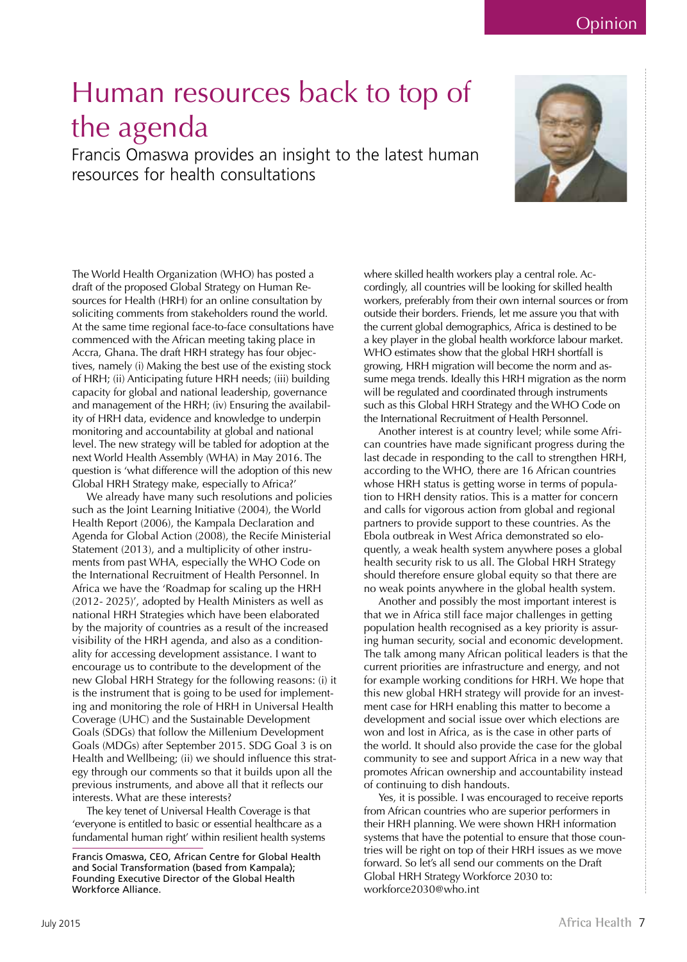Opinion

## Human resources back to top of the agenda

Francis Omaswa provides an insight to the latest human resources for health consultations



The World Health Organization (WHO) has posted a draft of the proposed Global Strategy on Human Resources for Health (HRH) for an online consultation by soliciting comments from stakeholders round the world. At the same time regional face-to-face consultations have commenced with the African meeting taking place in Accra, Ghana. The draft HRH strategy has four objectives, namely (i) Making the best use of the existing stock of HRH; (ii) Anticipating future HRH needs; (iii) building capacity for global and national leadership, governance and management of the HRH; (iv) Ensuring the availability of HRH data, evidence and knowledge to underpin monitoring and accountability at global and national level. The new strategy will be tabled for adoption at the next World Health Assembly (WHA) in May 2016. The question is 'what difference will the adoption of this new Global HRH Strategy make, especially to Africa?'

We already have many such resolutions and policies such as the Joint Learning Initiative (2004), the World Health Report (2006), the Kampala Declaration and Agenda for Global Action (2008), the Recife Ministerial Statement (2013), and a multiplicity of other instruments from past WHA, especially the WHO Code on the International Recruitment of Health Personnel. In Africa we have the 'Roadmap for scaling up the HRH (2012- 2025)', adopted by Health Ministers as well as national HRH Strategies which have been elaborated by the majority of countries as a result of the increased visibility of the HRH agenda, and also as a conditionality for accessing development assistance. I want to encourage us to contribute to the development of the new Global HRH Strategy for the following reasons: (i) it is the instrument that is going to be used for implementing and monitoring the role of HRH in Universal Health Coverage (UHC) and the Sustainable Development Goals (SDGs) that follow the Millenium Development Goals (MDGs) after September 2015. SDG Goal 3 is on Health and Wellbeing; (ii) we should influence this strategy through our comments so that it builds upon all the previous instruments, and above all that it reflects our interests. What are these interests?

The key tenet of Universal Health Coverage is that 'everyone is entitled to basic or essential healthcare as a fundamental human right' within resilient health systems

Francis Omaswa, CEO, African Centre for Global Health and Social Transformation (based from Kampala); Founding Executive Director of the Global Health Workforce Alliance.

where skilled health workers play a central role. Accordingly, all countries will be looking for skilled health workers, preferably from their own internal sources or from outside their borders. Friends, let me assure you that with the current global demographics, Africa is destined to be a key player in the global health workforce labour market. WHO estimates show that the global HRH shortfall is growing, HRH migration will become the norm and assume mega trends. Ideally this HRH migration as the norm will be regulated and coordinated through instruments such as this Global HRH Strategy and the WHO Code on the International Recruitment of Health Personnel.

Another interest is at country level; while some African countries have made significant progress during the last decade in responding to the call to strengthen HRH, according to the WHO, there are 16 African countries whose HRH status is getting worse in terms of population to HRH density ratios. This is a matter for concern and calls for vigorous action from global and regional partners to provide support to these countries. As the Ebola outbreak in West Africa demonstrated so eloquently, a weak health system anywhere poses a global health security risk to us all. The Global HRH Strategy should therefore ensure global equity so that there are no weak points anywhere in the global health system.

Another and possibly the most important interest is that we in Africa still face major challenges in getting population health recognised as a key priority is assuring human security, social and economic development. The talk among many African political leaders is that the current priorities are infrastructure and energy, and not for example working conditions for HRH. We hope that this new global HRH strategy will provide for an investment case for HRH enabling this matter to become a development and social issue over which elections are won and lost in Africa, as is the case in other parts of the world. It should also provide the case for the global community to see and support Africa in a new way that promotes African ownership and accountability instead of continuing to dish handouts.

Yes, it is possible. I was encouraged to receive reports from African countries who are superior performers in their HRH planning. We were shown HRH information systems that have the potential to ensure that those countries will be right on top of their HRH issues as we move forward. So let's all send our comments on the Draft Global HRH Strategy Workforce 2030 to: workforce2030@who.int